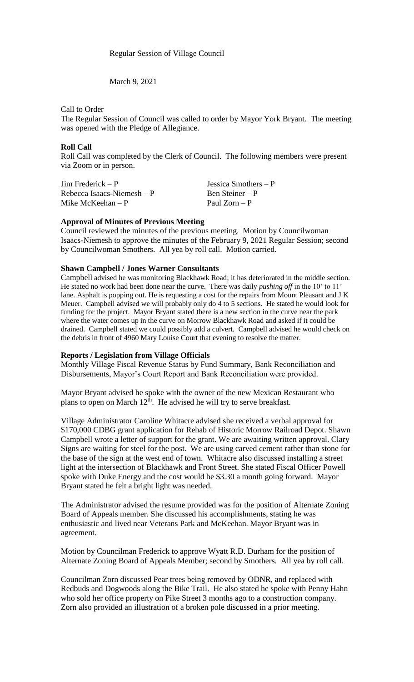Regular Session of Village Council

March 9, 2021

Call to Order

The Regular Session of Council was called to order by Mayor York Bryant. The meeting was opened with the Pledge of Allegiance.

## **Roll Call**

Roll Call was completed by the Clerk of Council. The following members were present via Zoom or in person.

| Jim Frederick – P          | Jessica Smothers $- P$ |
|----------------------------|------------------------|
| Rebecca Isaacs-Niemesh – P | Ben Steiner – P        |
| Mike McKeehan – P          | Paul $Zorn - P$        |

## **Approval of Minutes of Previous Meeting**

Council reviewed the minutes of the previous meeting. Motion by Councilwoman Isaacs-Niemesh to approve the minutes of the February 9, 2021 Regular Session; second by Councilwoman Smothers. All yea by roll call. Motion carried.

### **Shawn Campbell / Jones Warner Consultants**

Campbell advised he was monitoring Blackhawk Road; it has deteriorated in the middle section. He stated no work had been done near the curve. There was daily *pushing off* in the 10' to 11' lane. Asphalt is popping out. He is requesting a cost for the repairs from Mount Pleasant and J K Meuer. Campbell advised we will probably only do 4 to 5 sections. He stated he would look for funding for the project. Mayor Bryant stated there is a new section in the curve near the park where the water comes up in the curve on Morrow Blackhawk Road and asked if it could be drained. Campbell stated we could possibly add a culvert. Campbell advised he would check on the debris in front of 4960 Mary Louise Court that evening to resolve the matter.

#### **Reports / Legislation from Village Officials**

Monthly Village Fiscal Revenue Status by Fund Summary, Bank Reconciliation and Disbursements, Mayor's Court Report and Bank Reconciliation were provided.

Mayor Bryant advised he spoke with the owner of the new Mexican Restaurant who plans to open on March  $12<sup>th</sup>$ . He advised he will try to serve breakfast.

Village Administrator Caroline Whitacre advised she received a verbal approval for \$170,000 CDBG grant application for Rehab of Historic Morrow Railroad Depot. Shawn Campbell wrote a letter of support for the grant. We are awaiting written approval. Clary Signs are waiting for steel for the post. We are using carved cement rather than stone for the base of the sign at the west end of town. Whitacre also discussed installing a street light at the intersection of Blackhawk and Front Street. She stated Fiscal Officer Powell spoke with Duke Energy and the cost would be \$3.30 a month going forward. Mayor Bryant stated he felt a bright light was needed.

The Administrator advised the resume provided was for the position of Alternate Zoning Board of Appeals member. She discussed his accomplishments, stating he was enthusiastic and lived near Veterans Park and McKeehan. Mayor Bryant was in agreement.

Motion by Councilman Frederick to approve Wyatt R.D. Durham for the position of Alternate Zoning Board of Appeals Member; second by Smothers. All yea by roll call.

Councilman Zorn discussed Pear trees being removed by ODNR, and replaced with Redbuds and Dogwoods along the Bike Trail. He also stated he spoke with Penny Hahn who sold her office property on Pike Street 3 months ago to a construction company. Zorn also provided an illustration of a broken pole discussed in a prior meeting.